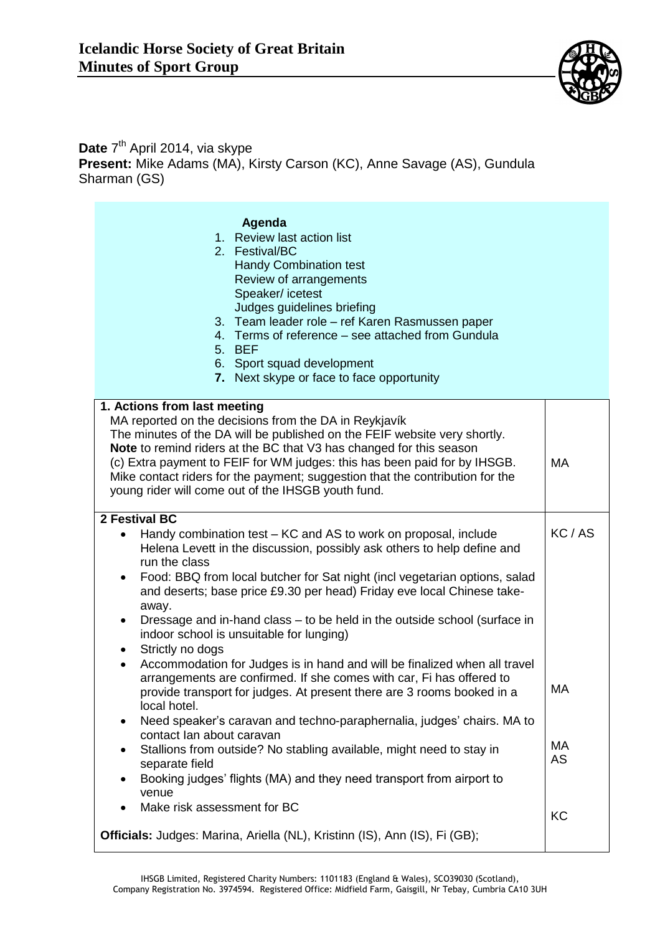

## Date 7<sup>th</sup> April 2014, via skype **Present:** Mike Adams (MA), Kirsty Carson (KC), Anne Savage (AS), Gundula Sharman (GS)

| Agenda                                                                                  |       |
|-----------------------------------------------------------------------------------------|-------|
| 1. Review last action list                                                              |       |
| 2. Festival/BC                                                                          |       |
| <b>Handy Combination test</b>                                                           |       |
| Review of arrangements                                                                  |       |
| Speaker/icetest<br>Judges guidelines briefing                                           |       |
| 3. Team leader role - ref Karen Rasmussen paper                                         |       |
| 4. Terms of reference – see attached from Gundula                                       |       |
| 5. BEF                                                                                  |       |
| 6. Sport squad development                                                              |       |
| 7. Next skype or face to face opportunity                                               |       |
|                                                                                         |       |
| 1. Actions from last meeting                                                            |       |
| MA reported on the decisions from the DA in Reykjavík                                   |       |
| The minutes of the DA will be published on the FEIF website very shortly.               |       |
| Note to remind riders at the BC that V3 has changed for this season                     |       |
| (c) Extra payment to FEIF for WM judges: this has been paid for by IHSGB.               | MA    |
| Mike contact riders for the payment; suggestion that the contribution for the           |       |
| young rider will come out of the IHSGB youth fund.                                      |       |
| 2 Festival BC                                                                           |       |
| Handy combination test – KC and AS to work on proposal, include                         | KC/AS |
| Helena Levett in the discussion, possibly ask others to help define and                 |       |
| run the class                                                                           |       |
| Food: BBQ from local butcher for Sat night (incl vegetarian options, salad<br>$\bullet$ |       |
| and deserts; base price £9.30 per head) Friday eve local Chinese take-                  |       |
| away.                                                                                   |       |
| Dressage and in-hand class - to be held in the outside school (surface in<br>$\bullet$  |       |
| indoor school is unsuitable for lunging)                                                |       |
| Strictly no dogs<br>$\bullet$                                                           |       |
| Accommodation for Judges is in hand and will be finalized when all travel<br>$\bullet$  |       |
| arrangements are confirmed. If she comes with car, Fi has offered to                    |       |
| provide transport for judges. At present there are 3 rooms booked in a                  | МA    |
| local hotel.                                                                            |       |
| Need speaker's caravan and techno-paraphernalia, judges' chairs. MA to                  |       |
| contact lan about caravan                                                               | МA    |
| Stallions from outside? No stabling available, might need to stay in                    | AS    |
| separate field                                                                          |       |
| Booking judges' flights (MA) and they need transport from airport to<br>venue           |       |
| Make risk assessment for BC                                                             |       |
|                                                                                         | KC    |
| Officials: Judges: Marina, Ariella (NL), Kristinn (IS), Ann (IS), Fi (GB);              |       |
|                                                                                         |       |